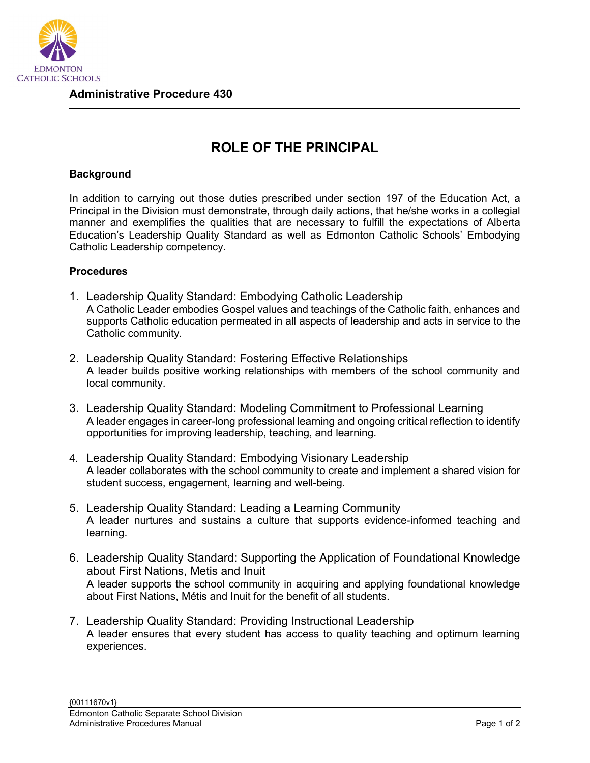

## **ROLE OF THE PRINCIPAL**

## **Background**

In addition to carrying out those duties prescribed under section 197 of the Education Act, a Principal in the Division must demonstrate, through daily actions, that he/she works in a collegial manner and exemplifies the qualities that are necessary to fulfill the expectations of Alberta Education's Leadership Quality Standard as well as Edmonton Catholic Schools' Embodying Catholic Leadership competency.

## **Procedures**

- 1. Leadership Quality Standard: Embodying Catholic Leadership A Catholic Leader embodies Gospel values and teachings of the Catholic faith, enhances and supports Catholic education permeated in all aspects of leadership and acts in service to the Catholic community.
- 2. Leadership Quality Standard: Fostering Effective Relationships A leader builds positive working relationships with members of the school community and local community.
- 3. Leadership Quality Standard: Modeling Commitment to Professional Learning A leader engages in career-long professional learning and ongoing critical reflection to identify opportunities for improving leadership, teaching, and learning.
- 4. Leadership Quality Standard: Embodying Visionary Leadership A leader collaborates with the school community to create and implement a shared vision for student success, engagement, learning and well-being.
- 5. Leadership Quality Standard: Leading a Learning Community A leader nurtures and sustains a culture that supports evidence-informed teaching and learning.
- 6. Leadership Quality Standard: Supporting the Application of Foundational Knowledge about First Nations, Metis and Inuit A leader supports the school community in acquiring and applying foundational knowledge about First Nations, Métis and Inuit for the benefit of all students.
- 7. Leadership Quality Standard: Providing Instructional Leadership A leader ensures that every student has access to quality teaching and optimum learning experiences.